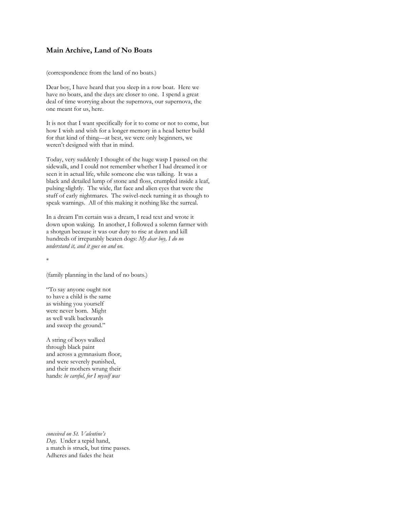## **Main Archive, Land of No Boats**

(correspondence from the land of no boats.)

Dear boy, I have heard that you sleep in a row boat. Here we have no boats, and the days are closer to one. I spend a great deal of time worrying about the supernova, our supernova, the one meant for us, here.

It is not that I want specifically for it to come or not to come, but how I wish and wish for a longer memory in a head better build for that kind of thing—at best, we were only beginners, we weren't designed with that in mind.

Today, very suddenly I thought of the huge wasp I passed on the sidewalk, and I could not remember whether I had dreamed it or seen it in actual life, while someone else was talking. It was a black and detailed lump of stone and floss, crumpled inside a leaf, pulsing slightly. The wide, flat face and alien eyes that were the stuff of early nightmares. The swivel-neck turning it as though to speak warnings. All of this making it nothing like the surreal.

In a dream I'm certain was a dream, I read text and wrote it down upon waking. In another, I followed a solemn farmer with a shotgun because it was our duty to rise at dawn and kill hundreds of irreparably beaten dogs: *My dear boy, I do no understand it, and it goes on and on.* 

\*

(family planning in the land of no boats.)

"To say anyone ought not to have a child is the same as wishing you yourself were never born. Might as well walk backwards and sweep the ground."

A string of boys walked through black paint and across a gymnasium floor, and were severely punished, and their mothers wrung their hands: *be careful, for I myself was*

*conceived on St. Valentine's Day.* Under a tepid hand, a match is struck, but time passes. Adheres and fades the heat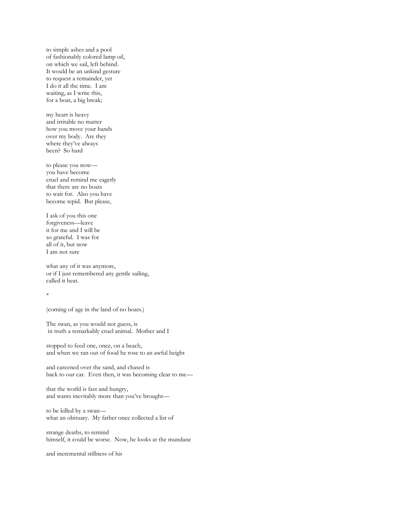to simple ashes and a pool of fashionably colored lamp oil, on which we sail, left behind. It would be an unkind gesture to request a remainder, yet I do it all the time. I am waiting, as I write this, for a boat, a big break;

my heart is heavy and irritable no matter how you move your hands over my body. Are they where they've always been? So hard

to please you now you have become cruel and remind me eagerly that there are no boats to wait for. Also you have become tepid. But please,

I ask of you this one forgiveness—leave it for me and I will be so grateful. I was for all of it, but now I am not sure

what any of it was anymore, or if I just remembered any gentle sailing, called it heat.

\*

(coming of age in the land of no boats.)

The swan, as you would not guess, is in truth a remarkably cruel animal. Mother and I

stopped to feed one, once, on a beach, and when we ran out of food he rose to an awful height

and careened over the sand, and chased is back to our car. Even then, it was becoming clear to me—

that the world is fast and hungry, and wants inevitably more than you've brought—

to be killed by a swan what an obituary. My father once collected a list of

strange deaths, to remind himself, it could be worse. Now, he looks at the mundane

and incremental stillness of his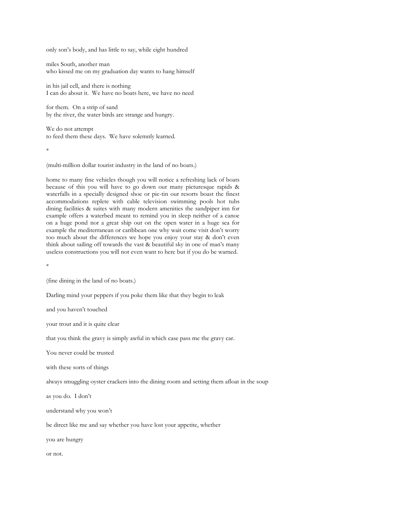only son's body, and has little to say, while eight hundred

miles South, another man who kissed me on my graduation day wants to hang himself

in his jail cell, and there is nothing I can do about it. We have no boats here, we have no need

for them. On a strip of sand by the river, the water birds are strange and hungry.

We do not attempt to feed them these days. We have solemnly learned.

\*

(multi-million dollar tourist industry in the land of no boats.)

home to many fine vehicles though you will notice a refreshing lack of boats because of this you will have to go down our many picturesque rapids & waterfalls in a specially designed shoe or pie-tin our resorts boast the finest accommodations replete with cable television swimming pools hot tubs dining facilities & suites with many modern amenities the sandpiper inn for example offers a waterbed meant to remind you in sleep neither of a canoe on a huge pond nor a great ship out on the open water in a huge sea for example the mediterranean or caribbean one why wait come visit don't worry too much about the differences we hope you enjoy your stay & don't even think about sailing off towards the vast & beautiful sky in one of man's many useless constructions you will not even want to here but if you do be warned.

\*

(fine dining in the land of no boats.)

Darling mind your peppers if you poke them like that they begin to leak

and you haven't touched

your trout and it is quite clear

that you think the gravy is simply awful in which case pass me the gravy car.

You never could be trusted

with these sorts of things

always smuggling oyster crackers into the dining room and setting them afloat in the soup

as you do. I don't

understand why you won't

be direct like me and say whether you have lost your appetite, whether

you are hungry

or not.